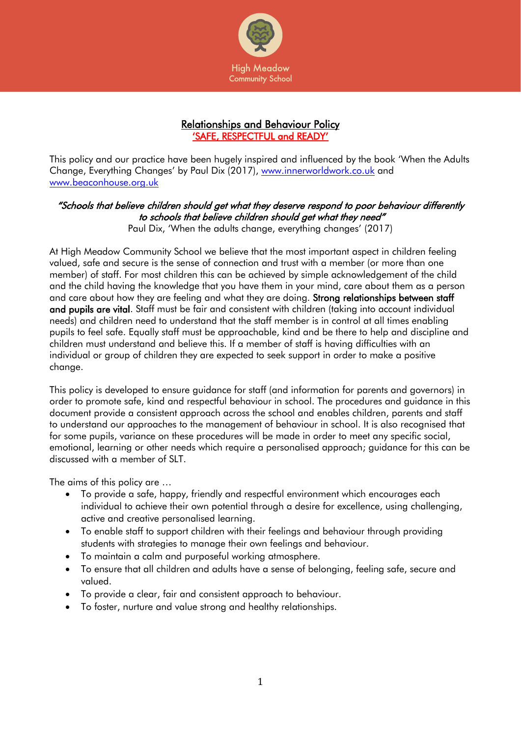

# Relationships and Behaviour Policy 'SAFE, RESPECTFUL and READY'

This policy and our practice have been hugely inspired and influenced by the book 'When the Adults Change, Everything Changes' by Paul Dix (2017), [www.innerworldwork.co.uk](http://www.innerworldwork.co.uk/) and [www.beaconhouse.org.uk](http://www.beaconhouse.org.uk/)

# "Schools that believe children should get what they deserve respond to poor behaviour differently to schools that believe children should get what they need"

Paul Dix, 'When the adults change, everything changes' (2017)

At High Meadow Community School we believe that the most important aspect in children feeling valued, safe and secure is the sense of connection and trust with a member (or more than one member) of staff. For most children this can be achieved by simple acknowledgement of the child and the child having the knowledge that you have them in your mind, care about them as a person and care about how they are feeling and what they are doing. Strong relationships between staff and pupils are vital. Staff must be fair and consistent with children (taking into account individual needs) and children need to understand that the staff member is in control at all times enabling pupils to feel safe. Equally staff must be approachable, kind and be there to help and discipline and children must understand and believe this. If a member of staff is having difficulties with an individual or group of children they are expected to seek support in order to make a positive change.

This policy is developed to ensure guidance for staff (and information for parents and governors) in order to promote safe, kind and respectful behaviour in school. The procedures and guidance in this document provide a consistent approach across the school and enables children, parents and staff to understand our approaches to the management of behaviour in school. It is also recognised that for some pupils, variance on these procedures will be made in order to meet any specific social, emotional, learning or other needs which require a personalised approach; guidance for this can be discussed with a member of SLT.

The aims of this policy are …

- To provide a safe, happy, friendly and respectful environment which encourages each individual to achieve their own potential through a desire for excellence, using challenging, active and creative personalised learning.
- To enable staff to support children with their feelings and behaviour through providing students with strategies to manage their own feelings and behaviour.
- To maintain a calm and purposeful working atmosphere.
- To ensure that all children and adults have a sense of belonging, feeling safe, secure and valued.
- To provide a clear, fair and consistent approach to behaviour.
- To foster, nurture and value strong and healthy relationships.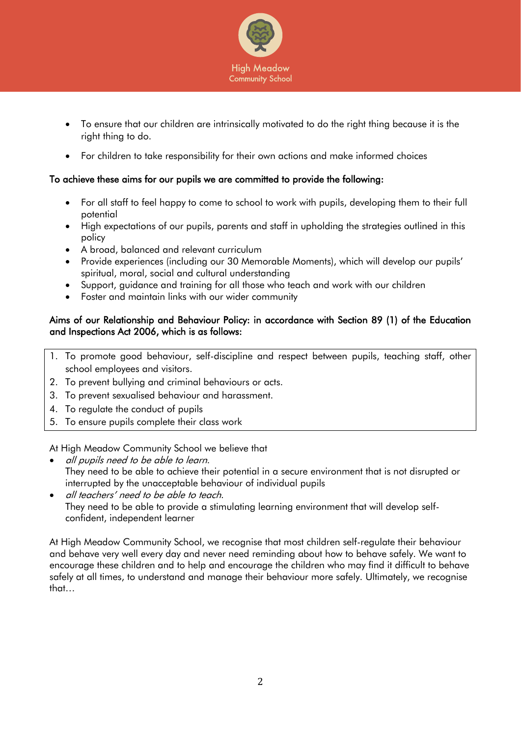

- To ensure that our children are intrinsically motivated to do the right thing because it is the right thing to do.
- For children to take responsibility for their own actions and make informed choices

# To achieve these aims for our pupils we are committed to provide the following:

- For all staff to feel happy to come to school to work with pupils, developing them to their full potential
- High expectations of our pupils, parents and staff in upholding the strategies outlined in this policy
- A broad, balanced and relevant curriculum
- Provide experiences (including our 30 Memorable Moments), which will develop our pupils' spiritual, moral, social and cultural understanding
- Support, guidance and training for all those who teach and work with our children
- Foster and maintain links with our wider community

## Aims of our Relationship and Behaviour Policy: in accordance with Section 89 (1) of the Education and Inspections Act 2006, which is as follows:

- 1. To promote good behaviour, self-discipline and respect between pupils, teaching staff, other school employees and visitors.
- 2. To prevent bullying and criminal behaviours or acts.
- 3. To prevent sexualised behaviour and harassment.
- 4. To regulate the conduct of pupils
- 5. To ensure pupils complete their class work

At High Meadow Community School we believe that

- all pupils need to be able to learn. They need to be able to achieve their potential in a secure environment that is not disrupted or interrupted by the unacceptable behaviour of individual pupils
- all teachers' need to be able to teach. They need to be able to provide a stimulating learning environment that will develop selfconfident, independent learner

At High Meadow Community School, we recognise that most children self-regulate their behaviour and behave very well every day and never need reminding about how to behave safely. We want to encourage these children and to help and encourage the children who may find it difficult to behave safely at all times, to understand and manage their behaviour more safely. Ultimately, we recognise that…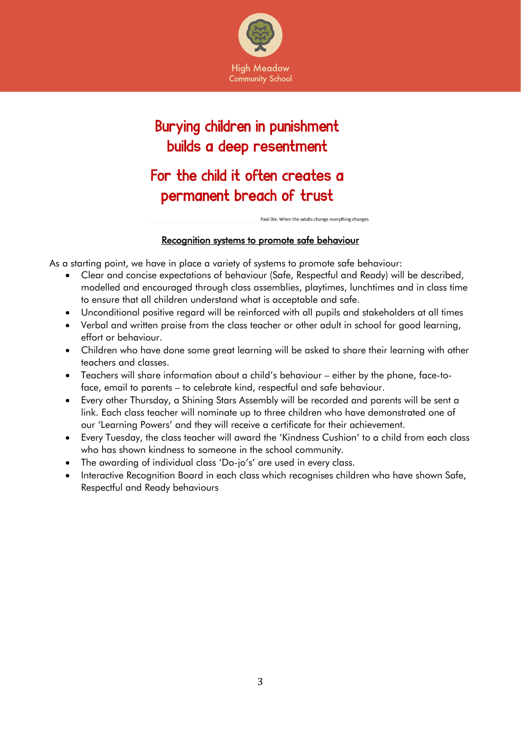

# Burying children in punishment builds a deep resentment

# For the child it often creates a permanent breach of trust

Paul Dix: When the adults change everything changes

# Recognition systems to promote safe behaviour

As a starting point, we have in place a variety of systems to promote safe behaviour:

- Clear and concise expectations of behaviour (Safe, Respectful and Ready) will be described, modelled and encouraged through class assemblies, playtimes, lunchtimes and in class time to ensure that all children understand what is acceptable and safe.
- Unconditional positive regard will be reinforced with all pupils and stakeholders at all times
- Verbal and written praise from the class teacher or other adult in school for good learning, effort or behaviour.
- Children who have done some great learning will be asked to share their learning with other teachers and classes.
- Teachers will share information about a child's behaviour either by the phone, face-toface, email to parents – to celebrate kind, respectful and safe behaviour.
- Every other Thursday, a Shining Stars Assembly will be recorded and parents will be sent a link. Each class teacher will nominate up to three children who have demonstrated one of our 'Learning Powers' and they will receive a certificate for their achievement.
- Every Tuesday, the class teacher will award the 'Kindness Cushion' to a child from each class who has shown kindness to someone in the school community.
- The awarding of individual class 'Do-jo's' are used in every class.
- Interactive Recognition Board in each class which recognises children who have shown Safe, Respectful and Ready behaviours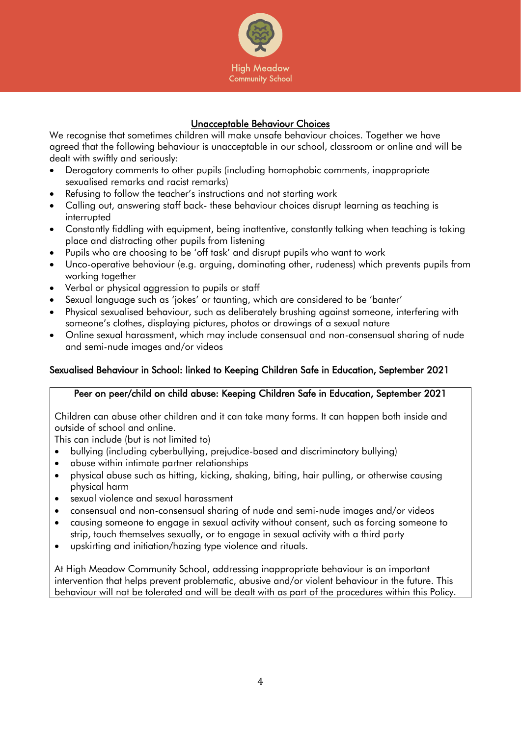

# Unacceptable Behaviour Choices

We recognise that sometimes children will make unsafe behaviour choices. Together we have agreed that the following behaviour is unacceptable in our school, classroom or online and will be dealt with swiftly and seriously:

- Derogatory comments to other pupils (including homophobic comments, inappropriate sexualised remarks and racist remarks)
- Refusing to follow the teacher's instructions and not starting work
- Calling out, answering staff back- these behaviour choices disrupt learning as teaching is interrupted
- Constantly fiddling with equipment, being inattentive, constantly talking when teaching is taking place and distracting other pupils from listening
- Pupils who are choosing to be 'off task' and disrupt pupils who want to work
- Unco-operative behaviour (e.g. arguing, dominating other, rudeness) which prevents pupils from working together
- Verbal or physical aggression to pupils or staff
- Sexual language such as 'jokes' or taunting, which are considered to be 'banter'
- Physical sexualised behaviour, such as deliberately brushing against someone, interfering with someone's clothes, displaying pictures, photos or drawings of a sexual nature
- Online sexual harassment, which may include consensual and non-consensual sharing of nude and semi-nude images and/or videos

# Sexualised Behaviour in School: linked to Keeping Children Safe in Education, September 2021

## Peer on peer/child on child abuse: Keeping Children Safe in Education, September 2021

Children can abuse other children and it can take many forms. It can happen both inside and outside of school and online.

This can include (but is not limited to)

- bullying (including cyberbullying, prejudice-based and discriminatory bullying)
- abuse within intimate partner relationships
- physical abuse such as hitting, kicking, shaking, biting, hair pulling, or otherwise causing physical harm
- sexual violence and sexual harassment
- consensual and non-consensual sharing of nude and semi-nude images and/or videos
- causing someone to engage in sexual activity without consent, such as forcing someone to strip, touch themselves sexually, or to engage in sexual activity with a third party
- upskirting and initiation/hazing type violence and rituals.

At High Meadow Community School, addressing inappropriate behaviour is an important intervention that helps prevent problematic, abusive and/or violent behaviour in the future. This behaviour will not be tolerated and will be dealt with as part of the procedures within this Policy.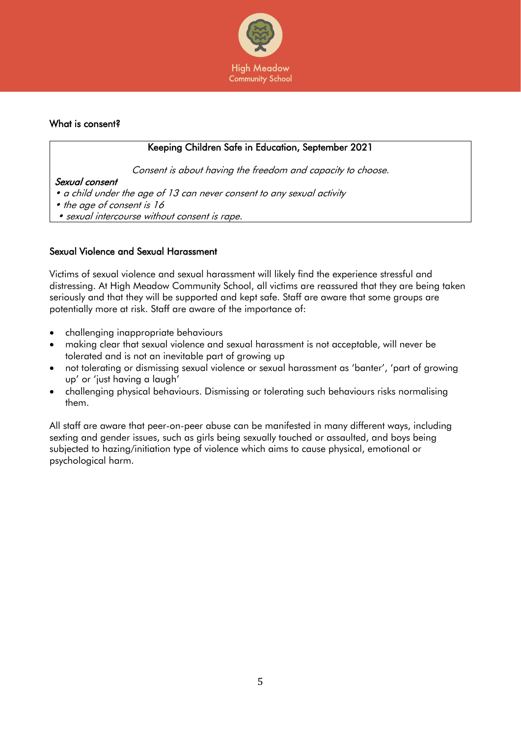

## What is consent?

# Keeping Children Safe in Education, September 2021

Consent is about having the freedom and capacity to choose.

# Sexual consent

- a child under the age of 13 can never consent to any sexual activity
- the age of consent is 16
- sexual intercourse without consent is rape.

### Sexual Violence and Sexual Harassment

Victims of sexual violence and sexual harassment will likely find the experience stressful and distressing. At High Meadow Community School, all victims are reassured that they are being taken seriously and that they will be supported and kept safe. Staff are aware that some groups are potentially more at risk. Staff are aware of the importance of:

- challenging inappropriate behaviours
- making clear that sexual violence and sexual harassment is not acceptable, will never be tolerated and is not an inevitable part of growing up
- not tolerating or dismissing sexual violence or sexual harassment as 'banter', 'part of growing up' or 'just having a laugh'
- challenging physical behaviours. Dismissing or tolerating such behaviours risks normalising them.

All staff are aware that peer-on-peer abuse can be manifested in many different ways, including sexting and gender issues, such as girls being sexually touched or assaulted, and boys being subjected to hazing/initiation type of violence which aims to cause physical, emotional or psychological harm.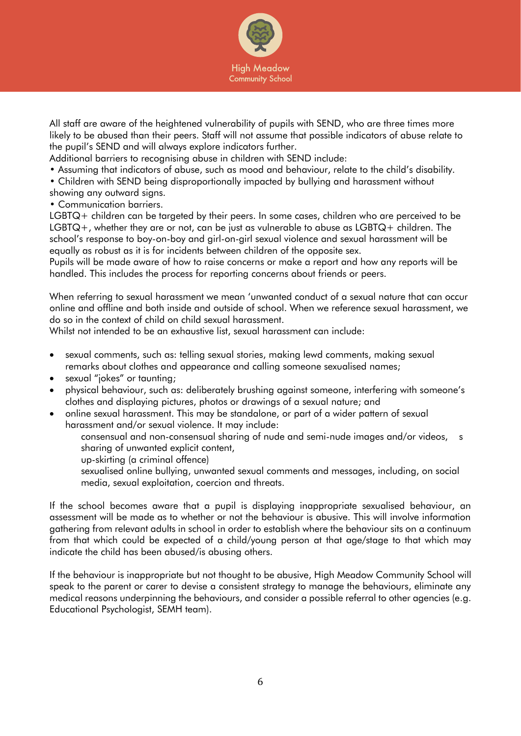

All staff are aware of the heightened vulnerability of pupils with SEND, who are three times more likely to be abused than their peers. Staff will not assume that possible indicators of abuse relate to the pupil's SEND and will always explore indicators further.

Additional barriers to recognising abuse in children with SEND include:

• Assuming that indicators of abuse, such as mood and behaviour, relate to the child's disability.

• Children with SEND being disproportionally impacted by bullying and harassment without showing any outward signs.

• Communication barriers.

LGBTQ+ children can be targeted by their peers. In some cases, children who are perceived to be LGBTQ+, whether they are or not, can be just as vulnerable to abuse as LGBTQ+ children. The school's response to boy-on-boy and girl-on-girl sexual violence and sexual harassment will be equally as robust as it is for incidents between children of the opposite sex.

Pupils will be made aware of how to raise concerns or make a report and how any reports will be handled. This includes the process for reporting concerns about friends or peers.

When referring to sexual harassment we mean 'unwanted conduct of a sexual nature that can occur online and offline and both inside and outside of school. When we reference sexual harassment, we do so in the context of child on child sexual harassment.

Whilst not intended to be an exhaustive list, sexual harassment can include:

- sexual comments, such as: telling sexual stories, making lewd comments, making sexual remarks about clothes and appearance and calling someone sexualised names;
- sexual "jokes" or taunting;
- physical behaviour, such as: deliberately brushing against someone, interfering with someone's clothes and displaying pictures, photos or drawings of a sexual nature; and
- online sexual harassment. This may be standalone, or part of a wider pattern of sexual harassment and/or sexual violence. It may include:

consensual and non-consensual sharing of nude and semi-nude images and/or videos, s sharing of unwanted explicit content,

up-skirting (a criminal offence)

sexualised online bullying, unwanted sexual comments and messages, including, on social media, sexual exploitation, coercion and threats.

If the school becomes aware that a pupil is displaying inappropriate sexualised behaviour, an assessment will be made as to whether or not the behaviour is abusive. This will involve information gathering from relevant adults in school in order to establish where the behaviour sits on a continuum from that which could be expected of a child/young person at that age/stage to that which may indicate the child has been abused/is abusing others.

If the behaviour is inappropriate but not thought to be abusive, High Meadow Community School will speak to the parent or carer to devise a consistent strategy to manage the behaviours, eliminate any medical reasons underpinning the behaviours, and consider a possible referral to other agencies (e.g. Educational Psychologist, SEMH team).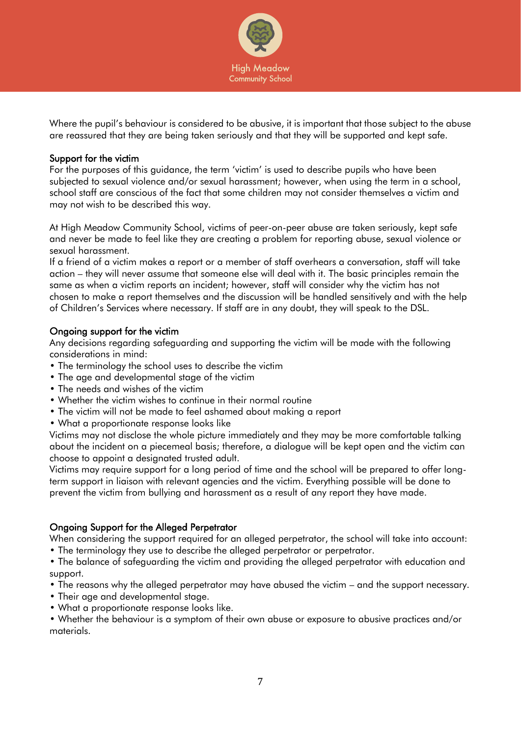

Where the pupil's behaviour is considered to be abusive, it is important that those subject to the abuse are reassured that they are being taken seriously and that they will be supported and kept safe.

### Support for the victim

For the purposes of this guidance, the term 'victim' is used to describe pupils who have been subjected to sexual violence and/or sexual harassment; however, when using the term in a school, school staff are conscious of the fact that some children may not consider themselves a victim and may not wish to be described this way.

At High Meadow Community School, victims of peer-on-peer abuse are taken seriously, kept safe and never be made to feel like they are creating a problem for reporting abuse, sexual violence or sexual harassment.

If a friend of a victim makes a report or a member of staff overhears a conversation, staff will take action – they will never assume that someone else will deal with it. The basic principles remain the same as when a victim reports an incident; however, staff will consider why the victim has not chosen to make a report themselves and the discussion will be handled sensitively and with the help of Children's Services where necessary. If staff are in any doubt, they will speak to the DSL.

## Ongoing support for the victim

Any decisions regarding safeguarding and supporting the victim will be made with the following considerations in mind:

- The terminology the school uses to describe the victim
- The age and developmental stage of the victim
- The needs and wishes of the victim
- Whether the victim wishes to continue in their normal routine
- The victim will not be made to feel ashamed about making a report
- What a proportionate response looks like

Victims may not disclose the whole picture immediately and they may be more comfortable talking about the incident on a piecemeal basis; therefore, a dialogue will be kept open and the victim can choose to appoint a designated trusted adult.

Victims may require support for a long period of time and the school will be prepared to offer longterm support in liaison with relevant agencies and the victim. Everything possible will be done to prevent the victim from bullying and harassment as a result of any report they have made.

## Ongoing Support for the Alleged Perpetrator

When considering the support required for an alleged perpetrator, the school will take into account: • The terminology they use to describe the alleged perpetrator or perpetrator.

- The balance of safeguarding the victim and providing the alleged perpetrator with education and support.
- The reasons why the alleged perpetrator may have abused the victim and the support necessary.
- Their age and developmental stage.
- What a proportionate response looks like.

• Whether the behaviour is a symptom of their own abuse or exposure to abusive practices and/or materials.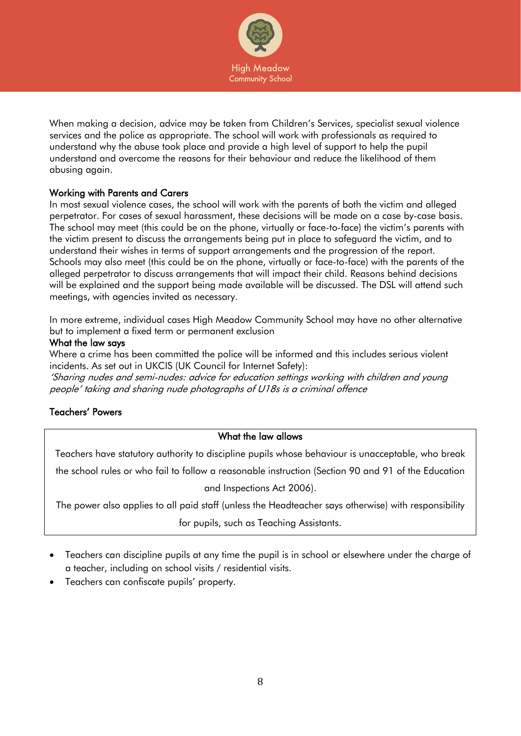

When making a decision, advice may be taken from Children's Services, specialist sexual violence services and the police as appropriate. The school will work with professionals as required to understand why the abuse took place and provide a high level of support to help the pupil understand and overcome the reasons for their behaviour and reduce the likelihood of them abusing again.

## Working with Parents and Carers

In most sexual violence cases, the school will work with the parents of both the victim and alleged perpetrator. For cases of sexual harassment, these decisions will be made on a case by-case basis. The school may meet (this could be on the phone, virtually or face-to-face) the victim's parents with the victim present to discuss the arrangements being put in place to safeguard the victim, and to understand their wishes in terms of support arrangements and the progression of the report. Schools may also meet (this could be on the phone, virtually or face-to-face) with the parents of the alleged perpetrator to discuss arrangements that will impact their child. Reasons behind decisions will be explained and the support being made available will be discussed. The DSL will attend such meetings, with agencies invited as necessary.

In more extreme, individual cases High Meadow Community School may have no other alternative but to implement a fixed term or permanent exclusion

#### What the law says

Where a crime has been committed the police will be informed and this includes serious violent incidents. As set out in UKCIS (UK Council for Internet Safety):

'Sharing nudes and semi-nudes: advice for education settings working with children and young people' taking and sharing nude photographs of U18s is a criminal offence

## Teachers' Powers

#### What the law allows

Teachers have statutory authority to discipline pupils whose behaviour is unacceptable, who break

the school rules or who fail to follow a reasonable instruction (Section 90 and 91 of the Education

#### and Inspections Act 2006).

The power also applies to all paid staff (unless the Headteacher says otherwise) with responsibility for pupils, such as Teaching Assistants.

- Teachers can discipline pupils at any time the pupil is in school or elsewhere under the charge of a teacher, including on school visits / residential visits.
- Teachers can confiscate pupils' property.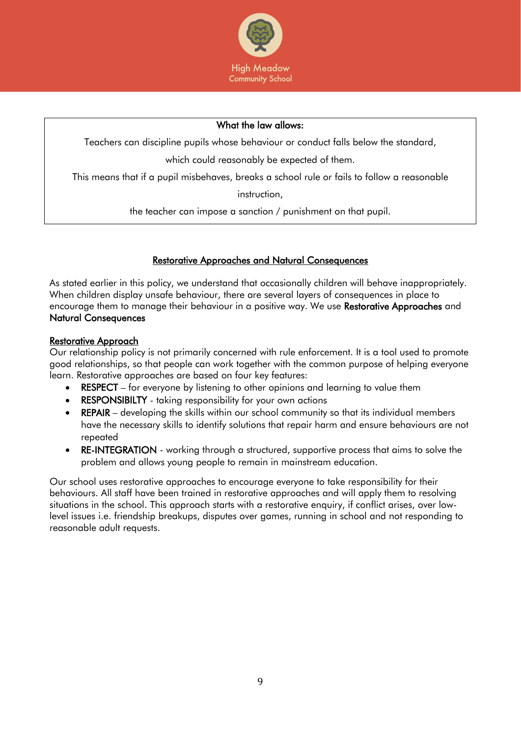

#### What the law allows:

Teachers can discipline pupils whose behaviour or conduct falls below the standard,

which could reasonably be expected of them.

This means that if a pupil misbehaves, breaks a school rule or fails to follow a reasonable

instruction,

the teacher can impose a sanction / punishment on that pupil.

## Restorative Approaches and Natural Consequences

As stated earlier in this policy, we understand that occasionally children will behave inappropriately. When children display unsafe behaviour, there are several layers of consequences in place to encourage them to manage their behaviour in a positive way. We use Restorative Approaches and Natural Consequences

### Restorative Approach

Our relationship policy is not primarily concerned with rule enforcement. It is a tool used to promote good relationships, so that people can work together with the common purpose of helping everyone learn. Restorative approaches are based on four key features:

- RESPECT for everyone by listening to other opinions and learning to value them
- **RESPONSIBILTY** taking responsibility for your own actions
- REPAIR developing the skills within our school community so that its individual members have the necessary skills to identify solutions that repair harm and ensure behaviours are not repeated
- RE-INTEGRATION working through a structured, supportive process that aims to solve the problem and allows young people to remain in mainstream education.

Our school uses restorative approaches to encourage everyone to take responsibility for their behaviours. All staff have been trained in restorative approaches and will apply them to resolving situations in the school. This approach starts with a restorative enquiry, if conflict arises, over lowlevel issues i.e. friendship breakups, disputes over games, running in school and not responding to reasonable adult requests.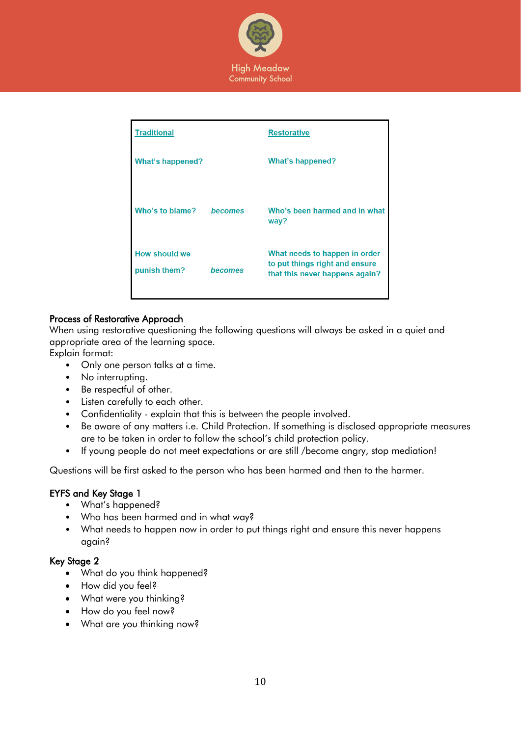

| <b>Traditional</b>                   |         | <b>Restorative</b>                                                                                |
|--------------------------------------|---------|---------------------------------------------------------------------------------------------------|
| <b>What's happened?</b>              |         | What's happened?                                                                                  |
| Who's to blame?                      | becomes | Who's been harmed and in what<br>way?                                                             |
| <b>How should we</b><br>punish them? | becomes | What needs to happen in order<br>to put things right and ensure<br>that this never happens again? |

## Process of Restorative Approach

When using restorative questioning the following questions will always be asked in a quiet and appropriate area of the learning space.

Explain format:

- Only one person talks at a time.
- No interrupting.
- Be respectful of other.
- Listen carefully to each other.
- Confidentiality explain that this is between the people involved.
- Be aware of any matters i.e. Child Protection. If something is disclosed appropriate measures are to be taken in order to follow the school's child protection policy.
- If young people do not meet expectations or are still /become angry, stop mediation!

Questions will be first asked to the person who has been harmed and then to the harmer.

#### EYFS and Key Stage 1

- What's happened?
- Who has been harmed and in what way?
- What needs to happen now in order to put things right and ensure this never happens again?

#### Key Stage 2

- What do you think happened?
- How did you feel?
- What were you thinking?
- How do you feel now?
- What are you thinking now?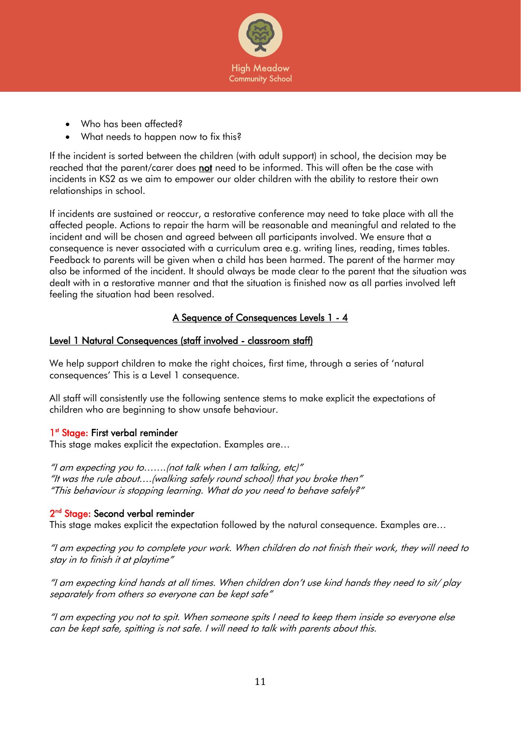

- Who has been affected?
- What needs to happen now to fix this?

If the incident is sorted between the children (with adult support) in school, the decision may be reached that the parent/carer does not need to be informed. This will often be the case with incidents in KS2 as we aim to empower our older children with the ability to restore their own relationships in school.

If incidents are sustained or reoccur, a restorative conference may need to take place with all the affected people. Actions to repair the harm will be reasonable and meaningful and related to the incident and will be chosen and agreed between all participants involved. We ensure that a consequence is never associated with a curriculum area e.g. writing lines, reading, times tables. Feedback to parents will be given when a child has been harmed. The parent of the harmer may also be informed of the incident. It should always be made clear to the parent that the situation was dealt with in a restorative manner and that the situation is finished now as all parties involved left feeling the situation had been resolved.

# A Sequence of Consequences Levels 1 - 4

### Level 1 Natural Consequences (staff involved - classroom staff)

We help support children to make the right choices, first time, through a series of 'natural consequences' This is a Level 1 consequence.

All staff will consistently use the following sentence stems to make explicit the expectations of children who are beginning to show unsafe behaviour.

## 1<sup>st</sup> Stage: First verbal reminder

This stage makes explicit the expectation. Examples are…

"I am expecting you to…….(not talk when I am talking, etc)" "It was the rule about….(walking safely round school) that you broke then" "This behaviour is stopping learning. What do you need to behave safely?"

#### 2<sup>nd</sup> Stage: Second verbal reminder

This stage makes explicit the expectation followed by the natural consequence. Examples are…

"I am expecting you to complete your work. When children do not finish their work, they will need to stay in to finish it at playtime"

"I am expecting kind hands at all times. When children don't use kind hands they need to sit/ play separately from others so everyone can be kept safe"

"I am expecting you not to spit. When someone spits I need to keep them inside so everyone else can be kept safe, spitting is not safe. I will need to talk with parents about this.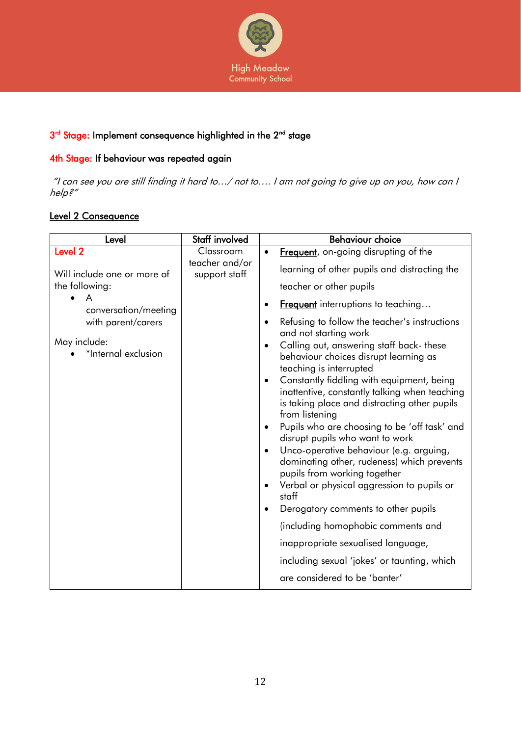

# 3<sup>rd</sup> Stage: Implement consequence highlighted in the 2<sup>nd</sup> stage

## 4th Stage: If behaviour was repeated again

"I can see you are still finding it hard to…/ not to…. I am not going to give up on you, how can I help?"

# Level 2 Consequence

| Level                               | Staff involved              | <b>Behaviour choice</b>                                                                                                                                                                                                                                                                                                                                                                                                                                                                                                                                                                                                                   |
|-------------------------------------|-----------------------------|-------------------------------------------------------------------------------------------------------------------------------------------------------------------------------------------------------------------------------------------------------------------------------------------------------------------------------------------------------------------------------------------------------------------------------------------------------------------------------------------------------------------------------------------------------------------------------------------------------------------------------------------|
| Level <sub>2</sub>                  | Classroom<br>teacher and/or | Frequent, on-going disrupting of the<br>$\bullet$                                                                                                                                                                                                                                                                                                                                                                                                                                                                                                                                                                                         |
| Will include one or more of         | support staff               | learning of other pupils and distracting the                                                                                                                                                                                                                                                                                                                                                                                                                                                                                                                                                                                              |
| the following:                      |                             | teacher or other pupils                                                                                                                                                                                                                                                                                                                                                                                                                                                                                                                                                                                                                   |
| conversation/meeting                |                             | <b>Frequent</b> interruptions to teaching<br>$\bullet$                                                                                                                                                                                                                                                                                                                                                                                                                                                                                                                                                                                    |
| with parent/carers                  |                             | Refusing to follow the teacher's instructions<br>$\bullet$                                                                                                                                                                                                                                                                                                                                                                                                                                                                                                                                                                                |
| May include:<br>*Internal exclusion |                             | and not starting work<br>Calling out, answering staff back- these<br>$\bullet$<br>behaviour choices disrupt learning as<br>teaching is interrupted<br>Constantly fiddling with equipment, being<br>$\bullet$<br>inattentive, constantly talking when teaching<br>is taking place and distracting other pupils<br>from listening<br>Pupils who are choosing to be 'off task' and<br>$\bullet$<br>disrupt pupils who want to work<br>Unco-operative behaviour (e.g. arguing,<br>$\bullet$<br>dominating other, rudeness) which prevents<br>pupils from working together<br>Verbal or physical aggression to pupils or<br>$\bullet$<br>staff |
|                                     |                             | Derogatory comments to other pupils<br>$\bullet$                                                                                                                                                                                                                                                                                                                                                                                                                                                                                                                                                                                          |
|                                     |                             | (including homophobic comments and                                                                                                                                                                                                                                                                                                                                                                                                                                                                                                                                                                                                        |
|                                     |                             | inappropriate sexualised language,                                                                                                                                                                                                                                                                                                                                                                                                                                                                                                                                                                                                        |
|                                     |                             | including sexual 'jokes' or taunting, which                                                                                                                                                                                                                                                                                                                                                                                                                                                                                                                                                                                               |
|                                     |                             | are considered to be 'banter'                                                                                                                                                                                                                                                                                                                                                                                                                                                                                                                                                                                                             |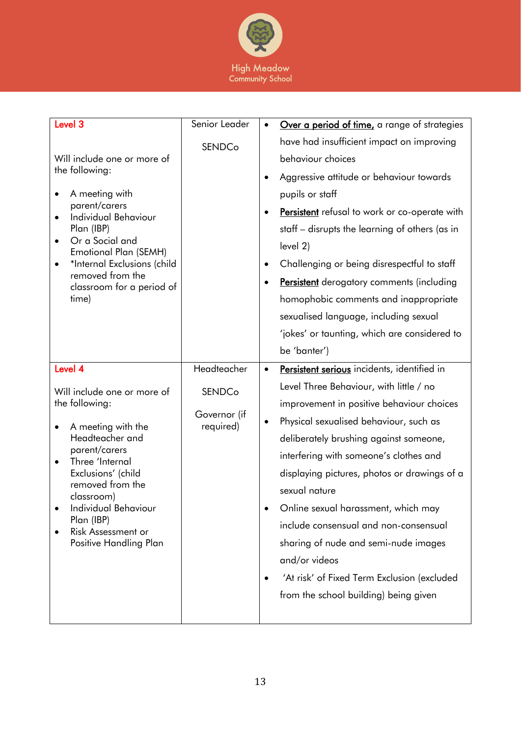

| Level <sub>3</sub><br>Will include one or more of<br>the following:<br>A meeting with<br>parent/carers<br><b>Individual Behaviour</b><br>Plan (IBP)<br>Or a Social and<br>$\bullet$<br>Emotional Plan (SEMH)<br>*Internal Exclusions (child<br>$\bullet$<br>removed from the<br>classroom for a period of<br>time) | Senior Leader<br><b>SENDCo</b>                            | Over a period of time, a range of strategies<br>$\bullet$<br>have had insufficient impact on improving<br>behaviour choices<br>Aggressive attitude or behaviour towards<br>$\bullet$<br>pupils or staff<br>Persistent refusal to work or co-operate with<br>staff – disrupts the learning of others (as in<br>level 2)<br>Challenging or being disrespectful to staff<br>٠<br><b>Persistent</b> derogatory comments (including<br>٠<br>homophobic comments and inappropriate<br>sexualised language, including sexual<br>'jokes' or taunting, which are considered to<br>be 'banter') |
|--------------------------------------------------------------------------------------------------------------------------------------------------------------------------------------------------------------------------------------------------------------------------------------------------------------------|-----------------------------------------------------------|---------------------------------------------------------------------------------------------------------------------------------------------------------------------------------------------------------------------------------------------------------------------------------------------------------------------------------------------------------------------------------------------------------------------------------------------------------------------------------------------------------------------------------------------------------------------------------------|
| Level 4<br>Will include one or more of<br>the following:<br>A meeting with the<br>Headteacher and<br>parent/carers<br>Three 'Internal<br>$\bullet$<br>Exclusions' (child<br>removed from the<br>classroom)<br>Individual Behaviour<br>Plan (IBP)<br>Risk Assessment or<br>Positive Handling Plan                   | Headteacher<br><b>SENDCo</b><br>Governor (if<br>required) | Persistent serious incidents, identified in<br>$\bullet$<br>Level Three Behaviour, with little / no<br>improvement in positive behaviour choices<br>Physical sexualised behaviour, such as<br>deliberately brushing against someone,<br>interfering with someone's clothes and<br>displaying pictures, photos or drawings of a<br>sexual nature<br>Online sexual harassment, which may<br>include consensual and non-consensual<br>sharing of nude and semi-nude images<br>and/or videos<br>'At risk' of Fixed Term Exclusion (excluded<br>from the school building) being given      |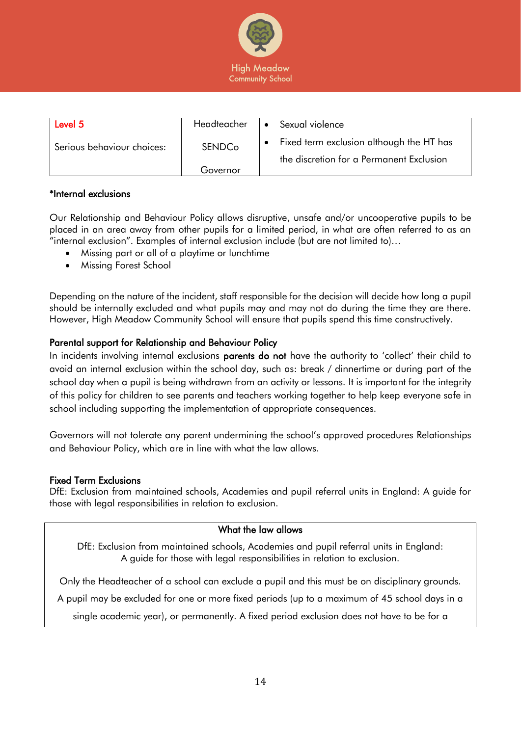

| Level 5                    | Headteacher   | Sexual violence<br>$\bullet$                                                         |
|----------------------------|---------------|--------------------------------------------------------------------------------------|
| Serious behaviour choices: | <b>SENDCo</b> | Fixed term exclusion although the HT has<br>the discretion for a Permanent Exclusion |
|                            | Governor      |                                                                                      |

### \*Internal exclusions

Our Relationship and Behaviour Policy allows disruptive, unsafe and/or uncooperative pupils to be placed in an area away from other pupils for a limited period, in what are often referred to as an "internal exclusion". Examples of internal exclusion include (but are not limited to)…

- Missing part or all of a playtime or lunchtime
- Missing Forest School

Depending on the nature of the incident, staff responsible for the decision will decide how long a pupil should be internally excluded and what pupils may and may not do during the time they are there. However, High Meadow Community School will ensure that pupils spend this time constructively.

### Parental support for Relationship and Behaviour Policy

In incidents involving internal exclusions **parents do not** have the authority to 'collect' their child to avoid an internal exclusion within the school day, such as: break / dinnertime or during part of the school day when a pupil is being withdrawn from an activity or lessons. It is important for the integrity of this policy for children to see parents and teachers working together to help keep everyone safe in school including supporting the implementation of appropriate consequences.

Governors will not tolerate any parent undermining the school's approved procedures Relationships and Behaviour Policy, which are in line with what the law allows.

#### Fixed Term Exclusions

DfE: Exclusion from maintained schools, Academies and pupil referral units in England: A guide for those with legal responsibilities in relation to exclusion.

#### What the law allows

DfE: Exclusion from maintained schools, Academies and pupil referral units in England: A guide for those with legal responsibilities in relation to exclusion.

Only the Headteacher of a school can exclude a pupil and this must be on disciplinary grounds.

A pupil may be excluded for one or more fixed periods (up to a maximum of 45 school days in a

single academic year), or permanently. A fixed period exclusion does not have to be for a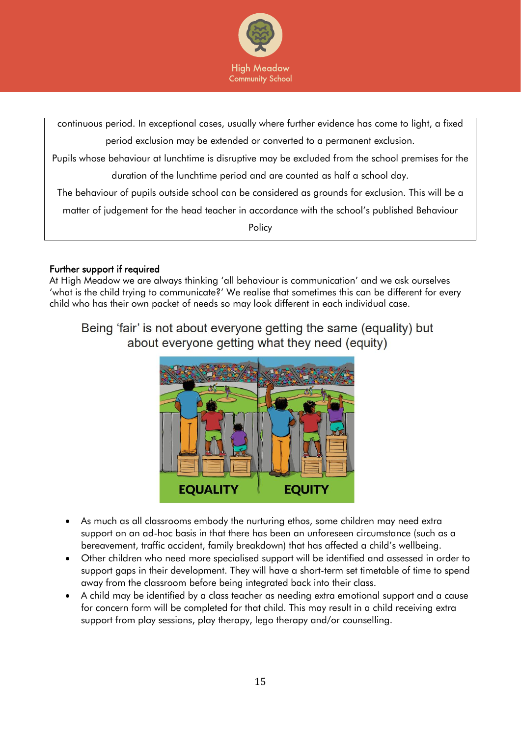

continuous period. In exceptional cases, usually where further evidence has come to light, a fixed period exclusion may be extended or converted to a permanent exclusion. Pupils whose behaviour at lunchtime is disruptive may be excluded from the school premises for the duration of the lunchtime period and are counted as half a school day. The behaviour of pupils outside school can be considered as grounds for exclusion. This will be a matter of judgement for the head teacher in accordance with the school's published Behaviour **Policy** 

# Further support if required

At High Meadow we are always thinking 'all behaviour is communication' and we ask ourselves 'what is the child trying to communicate?' We realise that sometimes this can be different for every child who has their own packet of needs so may look different in each individual case.

Being 'fair' is not about everyone getting the same (equality) but about everyone getting what they need (equity)



- As much as all classrooms embody the nurturing ethos, some children may need extra support on an ad-hoc basis in that there has been an unforeseen circumstance (such as a bereavement, traffic accident, family breakdown) that has affected a child's wellbeing.
- Other children who need more specialised support will be identified and assessed in order to support gaps in their development. They will have a short-term set timetable of time to spend away from the classroom before being integrated back into their class.
- A child may be identified by a class teacher as needing extra emotional support and a cause for concern form will be completed for that child. This may result in a child receiving extra support from play sessions, play therapy, lego therapy and/or counselling.